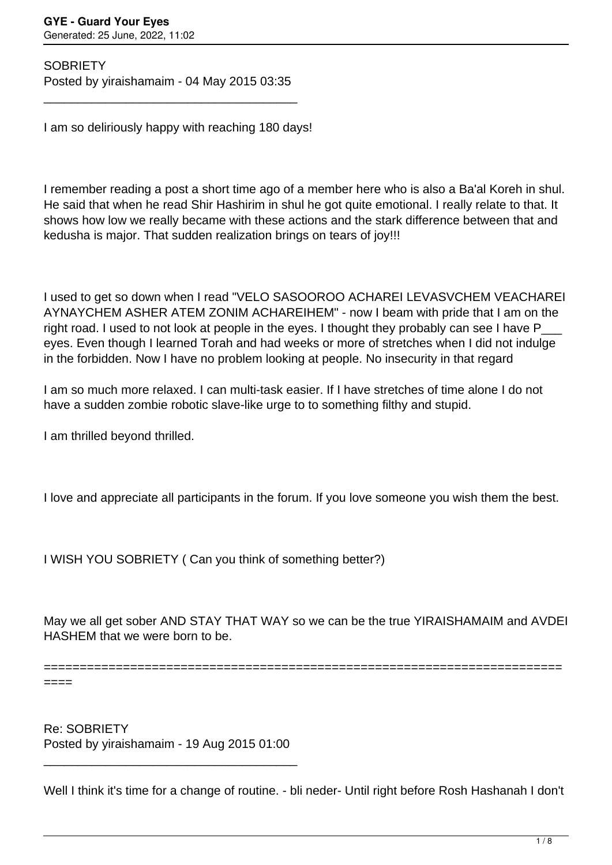**SOBRIETY** Posted by yiraishamaim - 04 May 2015 03:35

\_\_\_\_\_\_\_\_\_\_\_\_\_\_\_\_\_\_\_\_\_\_\_\_\_\_\_\_\_\_\_\_\_\_\_\_\_

I am so deliriously happy with reaching 180 days!

I remember reading a post a short time ago of a member here who is also a Ba'al Koreh in shul. He said that when he read Shir Hashirim in shul he got quite emotional. I really relate to that. It shows how low we really became with these actions and the stark difference between that and kedusha is major. That sudden realization brings on tears of joy!!!

I used to get so down when I read "VELO SASOOROO ACHAREI LEVASVCHEM VEACHAREI AYNAYCHEM ASHER ATEM ZONIM ACHAREIHEM" - now I beam with pride that I am on the right road. I used to not look at people in the eyes. I thought they probably can see I have P eyes. Even though I learned Torah and had weeks or more of stretches when I did not indulge in the forbidden. Now I have no problem looking at people. No insecurity in that regard

I am so much more relaxed. I can multi-task easier. If I have stretches of time alone I do not have a sudden zombie robotic slave-like urge to to something filthy and stupid.

I am thrilled beyond thrilled.

I love and appreciate all participants in the forum. If you love someone you wish them the best.

I WISH YOU SOBRIETY ( Can you think of something better?)

May we all get sober AND STAY THAT WAY so we can be the true YIRAISHAMAIM and AVDEI HASHEM that we were born to be.

========================================================================

====

Re: SOBRIETY Posted by yiraishamaim - 19 Aug 2015 01:00

\_\_\_\_\_\_\_\_\_\_\_\_\_\_\_\_\_\_\_\_\_\_\_\_\_\_\_\_\_\_\_\_\_\_\_\_\_

Well I think it's time for a change of routine. - bli neder- Until right before Rosh Hashanah I don't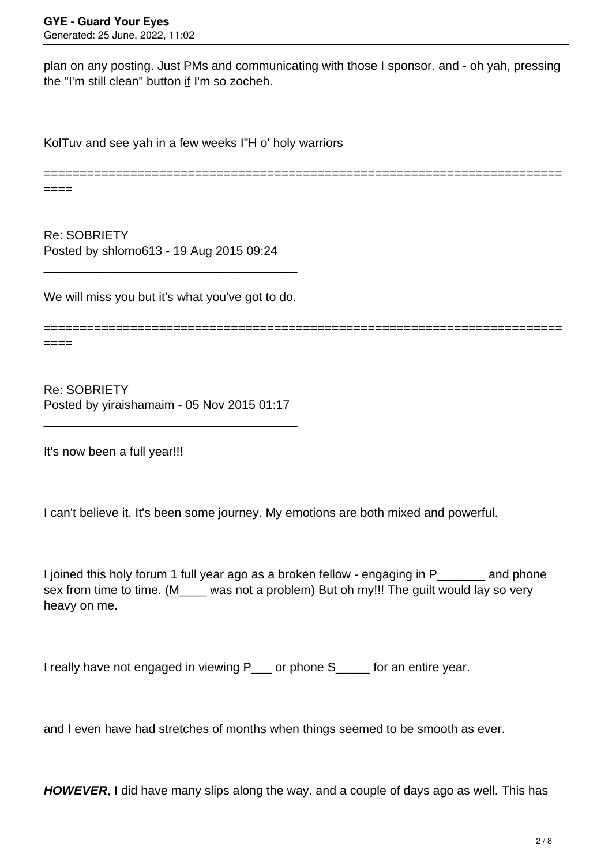plan on any posting. Just PMs and communicating with those I sponsor. and - oh yah, pressing the "I'm still clean" button if I'm so zocheh.

KolTuv and see yah in a few weeks I"H o' holy warriors

======================================================================== ====

Re: SOBRIETY Posted by shlomo613 - 19 Aug 2015 09:24

We will miss you but it's what you've got to do.

\_\_\_\_\_\_\_\_\_\_\_\_\_\_\_\_\_\_\_\_\_\_\_\_\_\_\_\_\_\_\_\_\_\_\_\_\_

======================================================================== ====

Re: SOBRIETY Posted by yiraishamaim - 05 Nov 2015 01:17

\_\_\_\_\_\_\_\_\_\_\_\_\_\_\_\_\_\_\_\_\_\_\_\_\_\_\_\_\_\_\_\_\_\_\_\_\_

It's now been a full year!!!

I can't believe it. It's been some journey. My emotions are both mixed and powerful.

I joined this holy forum 1 full year ago as a broken fellow - engaging in P\_\_\_\_\_\_\_ and phone sex from time to time. (M\_\_\_\_ was not a problem) But oh my!!! The guilt would lay so very heavy on me.

I really have not engaged in viewing P\_\_\_ or phone S\_\_\_\_ for an entire year.

and I even have had stretches of months when things seemed to be smooth as ever.

**HOWEVER**, I did have many slips along the way. and a couple of days ago as well. This has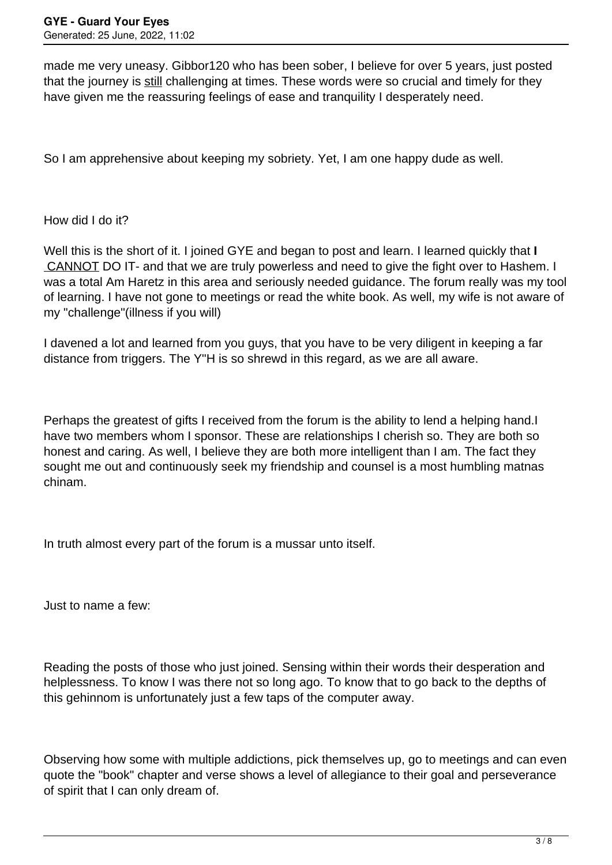made me very uneasy. Gibbor120 who has been sober, I believe for over 5 years, just posted that the journey is still challenging at times. These words were so crucial and timely for they have given me the reassuring feelings of ease and tranquility I desperately need.

So I am apprehensive about keeping my sobriety. Yet, I am one happy dude as well.

How did I do it?

Well this is the short of it. I joined GYE and began to post and learn. I learned quickly that **I** CANNOT DO IT- and that we are truly powerless and need to give the fight over to Hashem. I was a total Am Haretz in this area and seriously needed guidance. The forum really was my tool of learning. I have not gone to meetings or read the white book. As well, my wife is not aware of my "challenge"(illness if you will)

I davened a lot and learned from you guys, that you have to be very diligent in keeping a far distance from triggers. The Y"H is so shrewd in this regard, as we are all aware.

Perhaps the greatest of gifts I received from the forum is the ability to lend a helping hand.I have two members whom I sponsor. These are relationships I cherish so. They are both so honest and caring. As well, I believe they are both more intelligent than I am. The fact they sought me out and continuously seek my friendship and counsel is a most humbling matnas chinam.

In truth almost every part of the forum is a mussar unto itself.

Just to name a few:

Reading the posts of those who just joined. Sensing within their words their desperation and helplessness. To know I was there not so long ago. To know that to go back to the depths of this gehinnom is unfortunately just a few taps of the computer away.

Observing how some with multiple addictions, pick themselves up, go to meetings and can even quote the "book" chapter and verse shows a level of allegiance to their goal and perseverance of spirit that I can only dream of.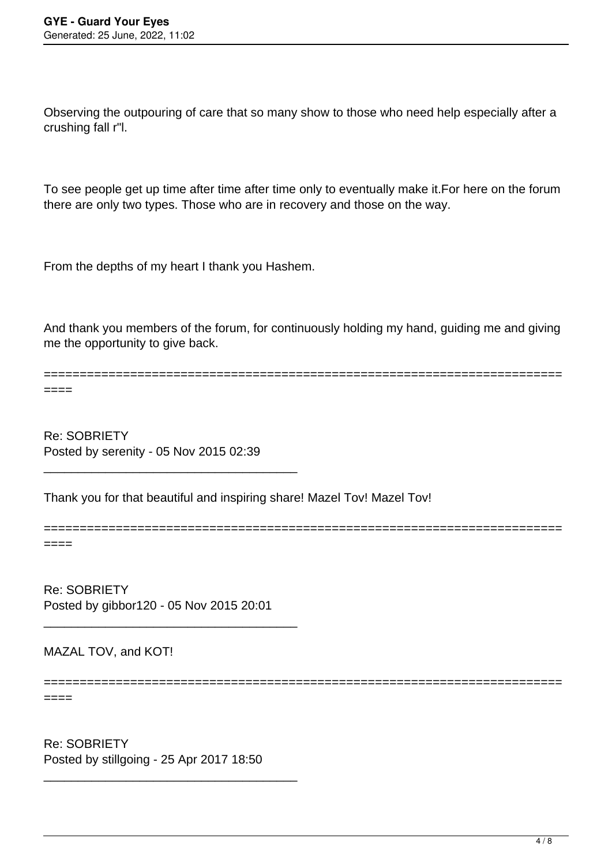Observing the outpouring of care that so many show to those who need help especially after a crushing fall r"l.

To see people get up time after time after time only to eventually make it.For here on the forum there are only two types. Those who are in recovery and those on the way.

From the depths of my heart I thank you Hashem.

And thank you members of the forum, for continuously holding my hand, guiding me and giving me the opportunity to give back.

======================================================================== ====

========================================================================

========================================================================

Re: SOBRIETY Posted by serenity - 05 Nov 2015 02:39

\_\_\_\_\_\_\_\_\_\_\_\_\_\_\_\_\_\_\_\_\_\_\_\_\_\_\_\_\_\_\_\_\_\_\_\_\_

Thank you for that beautiful and inspiring share! Mazel Tov! Mazel Tov!

====

Re: SOBRIETY Posted by gibbor120 - 05 Nov 2015 20:01

\_\_\_\_\_\_\_\_\_\_\_\_\_\_\_\_\_\_\_\_\_\_\_\_\_\_\_\_\_\_\_\_\_\_\_\_\_

MAZAL TOV, and KOT!

====

Re: SOBRIETY Posted by stillgoing - 25 Apr 2017 18:50

\_\_\_\_\_\_\_\_\_\_\_\_\_\_\_\_\_\_\_\_\_\_\_\_\_\_\_\_\_\_\_\_\_\_\_\_\_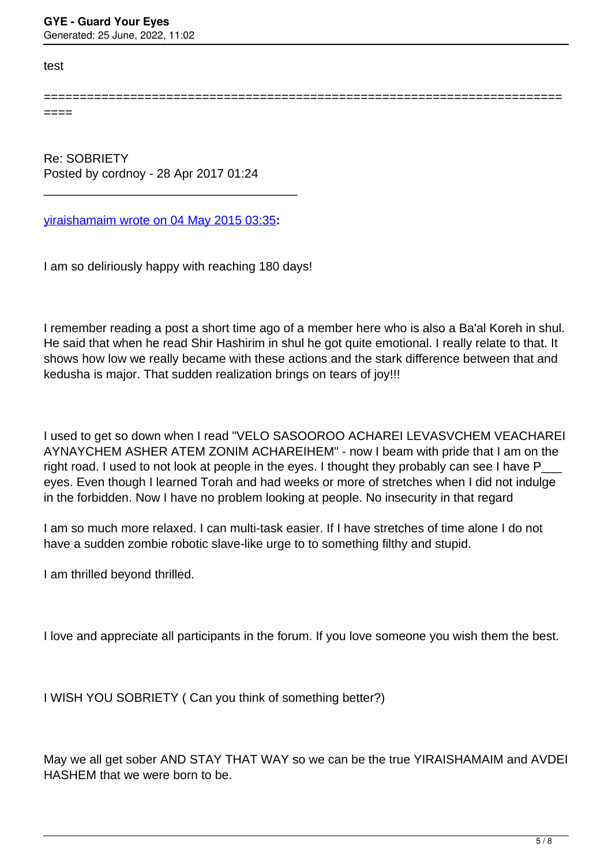test

====

========================================================================

Re: SOBRIETY Posted by cordnoy - 28 Apr 2017 01:24

[yiraishamaim wrote on 04 May 2015 03:35](/forum/19-Introduce-Yourself/253797-SOBRIETY)**:**

\_\_\_\_\_\_\_\_\_\_\_\_\_\_\_\_\_\_\_\_\_\_\_\_\_\_\_\_\_\_\_\_\_\_\_\_\_

I am so deliriously happy with reaching 180 days!

I remember reading a post a short time ago of a member here who is also a Ba'al Koreh in shul. He said that when he read Shir Hashirim in shul he got quite emotional. I really relate to that. It shows how low we really became with these actions and the stark difference between that and kedusha is major. That sudden realization brings on tears of joy!!!

I used to get so down when I read "VELO SASOOROO ACHAREI LEVASVCHEM VEACHAREI AYNAYCHEM ASHER ATEM ZONIM ACHAREIHEM" - now I beam with pride that I am on the right road. I used to not look at people in the eyes. I thought they probably can see I have P\_ eyes. Even though I learned Torah and had weeks or more of stretches when I did not indulge in the forbidden. Now I have no problem looking at people. No insecurity in that regard

I am so much more relaxed. I can multi-task easier. If I have stretches of time alone I do not have a sudden zombie robotic slave-like urge to to something filthy and stupid.

I am thrilled beyond thrilled.

I love and appreciate all participants in the forum. If you love someone you wish them the best.

I WISH YOU SOBRIETY ( Can you think of something better?)

May we all get sober AND STAY THAT WAY so we can be the true YIRAISHAMAIM and AVDEI HASHEM that we were born to be.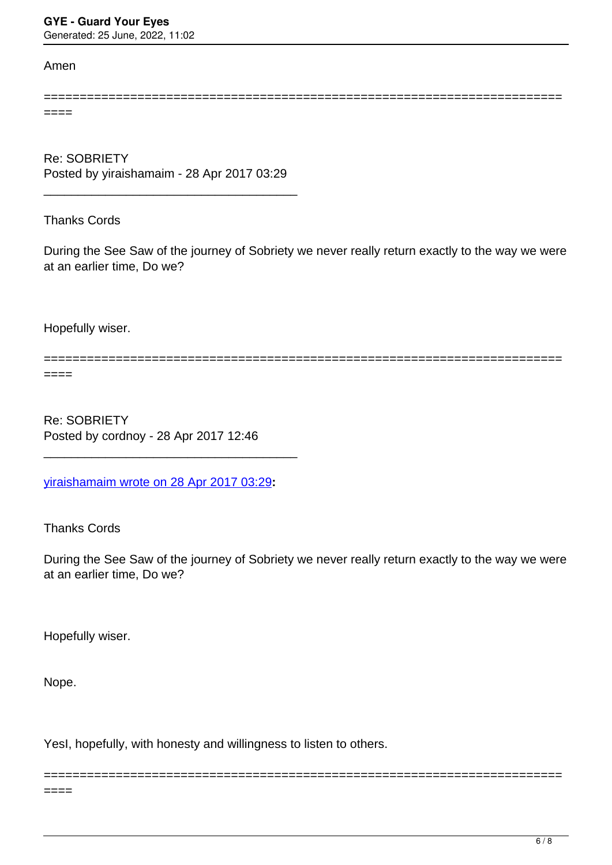Generated: 25 June, 2022, 11:02

## Amen

========================================================================

====

Re: SOBRIETY Posted by yiraishamaim - 28 Apr 2017 03:29

\_\_\_\_\_\_\_\_\_\_\_\_\_\_\_\_\_\_\_\_\_\_\_\_\_\_\_\_\_\_\_\_\_\_\_\_\_

Thanks Cords

During the See Saw of the journey of Sobriety we never really return exactly to the way we were at an earlier time, Do we?

Hopefully wiser.

========================================================================

====

Re: SOBRIETY Posted by cordnoy - 28 Apr 2017 12:46

[yiraishamaim wrote on 28 Apr 2017 03:29](/forum/19-Introduce-Yourself/311782-Re-SOBRIETY)**:**

\_\_\_\_\_\_\_\_\_\_\_\_\_\_\_\_\_\_\_\_\_\_\_\_\_\_\_\_\_\_\_\_\_\_\_\_\_

Thanks Cords

During the See Saw of the journey of Sobriety we never really return exactly to the way we were at an earlier time, Do we?

========================================================================

Hopefully wiser.

Nope.

YesI, hopefully, with honesty and willingness to listen to others.

 $====$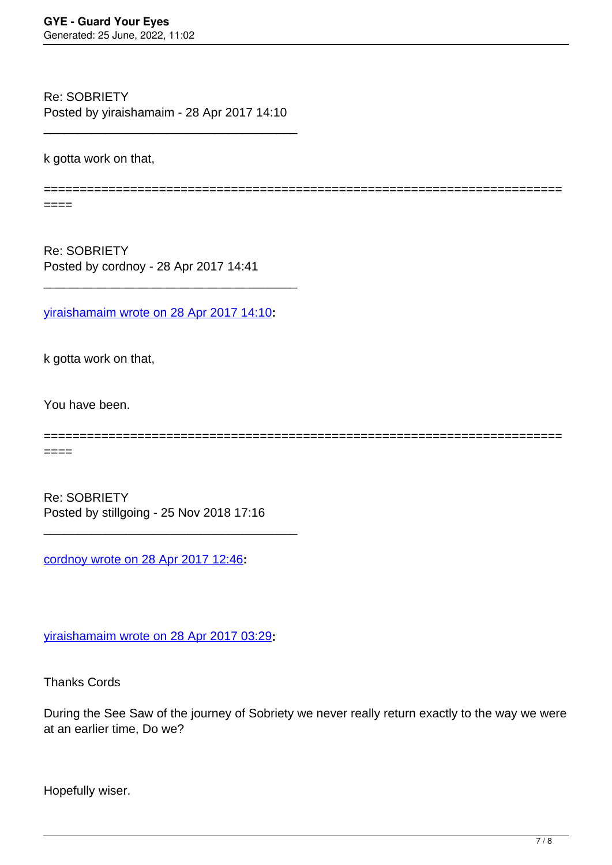Re: SOBRIETY Posted by yiraishamaim - 28 Apr 2017 14:10

\_\_\_\_\_\_\_\_\_\_\_\_\_\_\_\_\_\_\_\_\_\_\_\_\_\_\_\_\_\_\_\_\_\_\_\_\_

k gotta work on that,

========================================================================

====

Re: SOBRIETY Posted by cordnoy - 28 Apr 2017 14:41

[yiraishamaim wrote on 28 Apr 2017 14:10](/forum/19-Introduce-Yourself/311834-Re-SOBRIETY)**:**

\_\_\_\_\_\_\_\_\_\_\_\_\_\_\_\_\_\_\_\_\_\_\_\_\_\_\_\_\_\_\_\_\_\_\_\_\_

k gotta work on that,

You have been.

========================================================================

====

Re: SOBRIETY Posted by stillgoing - 25 Nov 2018 17:16

\_\_\_\_\_\_\_\_\_\_\_\_\_\_\_\_\_\_\_\_\_\_\_\_\_\_\_\_\_\_\_\_\_\_\_\_\_

[cordnoy wrote on 28 Apr 2017 12:46](/forum/19-Introduce-Yourself/311818-Re-SOBRIETY)**:**

[yiraishamaim wrote on 28 Apr 2017 03:29](/forum/19-Introduce-Yourself/311782-Re-SOBRIETY)**:**

Thanks Cords

During the See Saw of the journey of Sobriety we never really return exactly to the way we were at an earlier time, Do we?

Hopefully wiser.